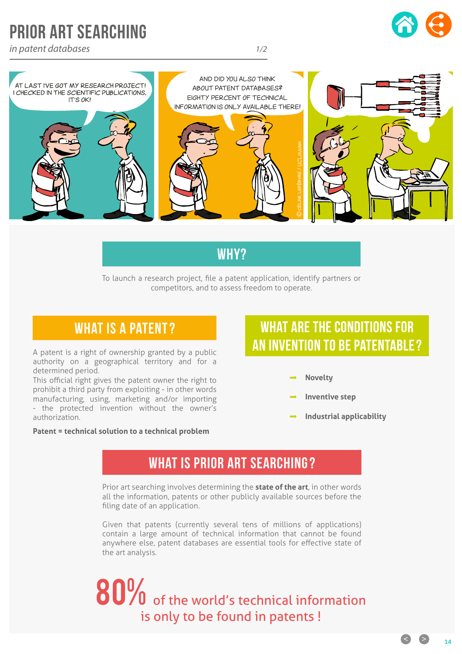## PRIOR ART SEARCHING

*in patent databases 1/2*





#### Why?

To launch a research project, file a patent application, identify partners or competitors, and to assess freedom to operate.

A patent is a right of ownership granted by a public authority on a geographical territory and for a determined period.

This official right gives the patent owner the right to prohibit a third party from exploiting - in other words manufacturing, using, marketing and/or importing - the protected invention without the owner's authorization.

#### **Patent = technical solution to a technical problem**

## WHAT IS A PATENT? WHAT ARE THE CONDITIONS FOR an invention to be patentable?

- **Novelty**
- **Inventive step**
- **Industrial applicability**

#### WHAT IS PRIOR ART SEARCHING?

Prior art searching involves determining the **state of the art**, in other words all the information, patents or other publicly available sources before the filing date of an application.

Given that patents (currently several tens of millions of applications) contain a large amount of technical information that cannot be found anywhere else, patent databases are essential tools for effective state of the art analysis.

# 80% of the world's technical information is only to be found in patents !

 $\bullet$   $\bullet$   $\bullet$   $\bullet$   $\bullet$   $\bullet$